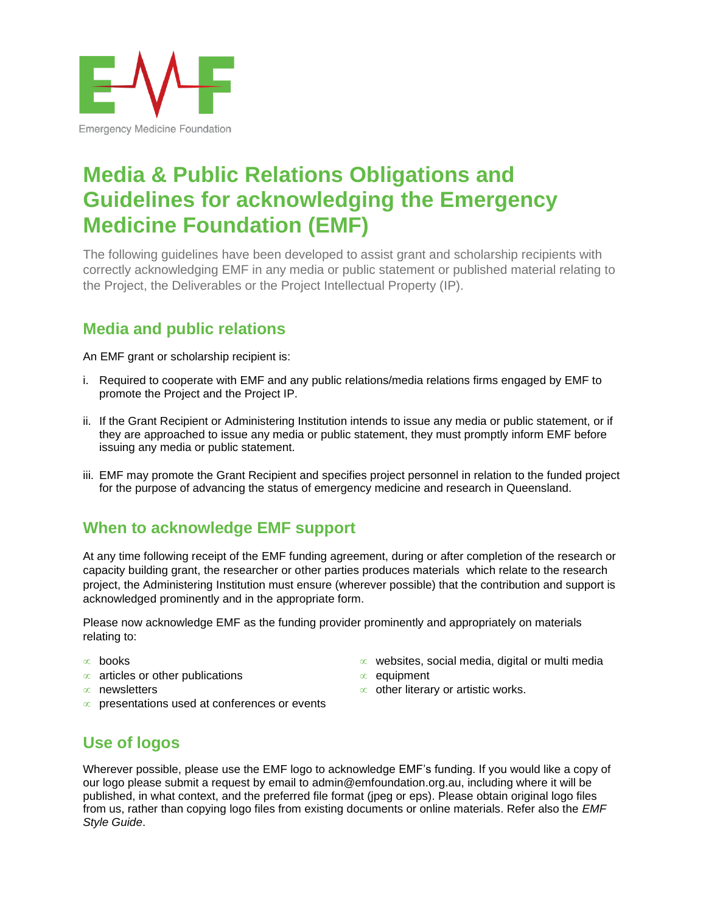

# **Media & Public Relations Obligations and Guidelines for acknowledging the Emergency Medicine Foundation (EMF)**

The following guidelines have been developed to assist grant and scholarship recipients with correctly acknowledging EMF in any media or public statement or published material relating to the Project, the Deliverables or the Project Intellectual Property (IP).

# **Media and public relations**

An EMF grant or scholarship recipient is:

- i. Required to cooperate with EMF and any public relations/media relations firms engaged by EMF to promote the Project and the Project IP.
- ii. If the Grant Recipient or Administering Institution intends to issue any media or public statement, or if they are approached to issue any media or public statement, they must promptly inform EMF before issuing any media or public statement.
- iii. EMF may promote the Grant Recipient and specifies project personnel in relation to the funded project for the purpose of advancing the status of emergency medicine and research in Queensland.

# **When to acknowledge EMF support**

At any time following receipt of the EMF funding agreement, during or after completion of the research or capacity building grant, the researcher or other parties produces materials which relate to the research project, the Administering Institution must ensure (wherever possible) that the contribution and support is acknowledged prominently and in the appropriate form.

Please now acknowledge EMF as the funding provider prominently and appropriately on materials relating to:

- $\infty$  books
- $\infty$  articles or other publications
- $\infty$  newsletters
- $\infty$  presentations used at conferences or events
- $\infty$  websites, social media, digital or multi media
- $\infty$  equipment
- $\infty$  other literary or artistic works.

# **Use of logos**

Wherever possible, please use the EMF logo to acknowledge EMF's funding. If you would like a copy of our logo please submit a request by email to admin@emfoundation.org.au, including where it will be published, in what context, and the preferred file format (jpeg or eps). Please obtain original logo files from us, rather than copying logo files from existing documents or online materials. Refer also the *EMF Style Guide*.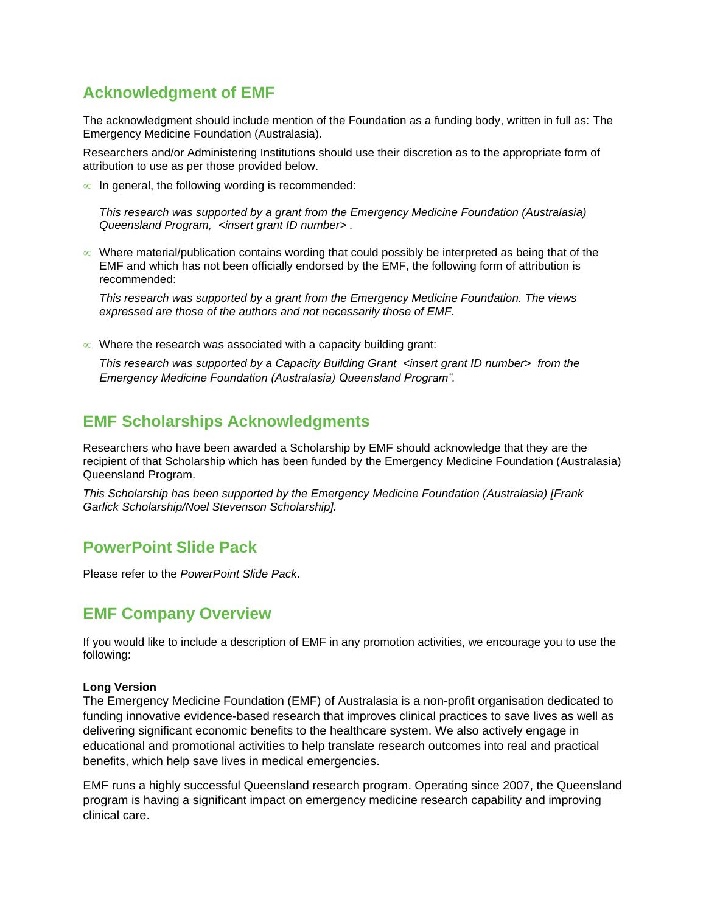# **Acknowledgment of EMF**

The acknowledgment should include mention of the Foundation as a funding body, written in full as: The Emergency Medicine Foundation (Australasia).

Researchers and/or Administering Institutions should use their discretion as to the appropriate form of attribution to use as per those provided below.

 $\infty$  In general, the following wording is recommended:

*This research was supported by a grant from the Emergency Medicine Foundation (Australasia) Queensland Program, <insert grant ID number> .* 

 $\infty$  Where material/publication contains wording that could possibly be interpreted as being that of the EMF and which has not been officially endorsed by the EMF, the following form of attribution is recommended:

*This research was supported by a grant from the Emergency Medicine Foundation. The views expressed are those of the authors and not necessarily those of EMF.* 

 $\infty$  Where the research was associated with a capacity building grant:

*This research was supported by a Capacity Building Grant <insert grant ID number> from the Emergency Medicine Foundation (Australasia) Queensland Program".*

### **EMF Scholarships Acknowledgments**

Researchers who have been awarded a Scholarship by EMF should acknowledge that they are the recipient of that Scholarship which has been funded by the Emergency Medicine Foundation (Australasia) Queensland Program.

*This Scholarship has been supported by the Emergency Medicine Foundation (Australasia) [Frank Garlick Scholarship/Noel Stevenson Scholarship].*

#### **PowerPoint Slide Pack**

Please refer to the *PowerPoint Slide Pack*.

#### **EMF Company Overview**

If you would like to include a description of EMF in any promotion activities, we encourage you to use the following:

#### **Long Version**

The Emergency Medicine Foundation (EMF) of Australasia is a non-profit organisation dedicated to funding innovative evidence-based research that improves clinical practices to save lives as well as delivering significant economic benefits to the healthcare system. We also actively engage in educational and promotional activities to help translate research outcomes into real and practical benefits, which help save lives in medical emergencies.

EMF runs a highly successful Queensland research program. Operating since 2007, the Queensland program is having a significant impact on emergency medicine research capability and improving clinical care.